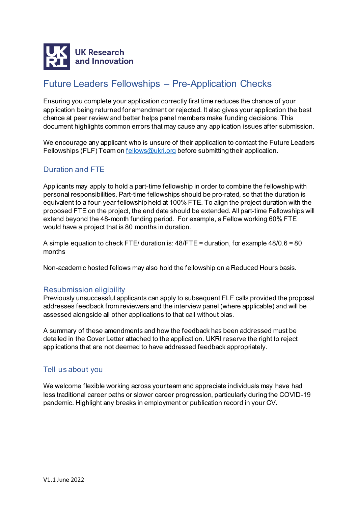

# Future Leaders Fellowships – Pre-Application Checks

Ensuring you complete your application correctly first time reduces the chance of your application being returned for amendment or rejected. It also gives your application the best chance at peer review and better helps panel members make funding decisions. This document highlights common errors that may cause any application issues after submission.

We encourage any applicant who is unsure of their application to contact the Future Leaders Fellowships (FLF) Team on [fellows@ukri.org](mailto:fellows@ukri.org) before submitting their application.

## Duration and FTE

Applicants may apply to hold a part-time fellowship in order to combine the fellowship with personal responsibilities. Part-time fellowships should be pro-rated, so that the duration is equivalent to a four-year fellowship held at 100% FTE. To align the project duration with the proposed FTE on the project, the end date should be extended. All part-time Fellowships will extend beyond the 48-month funding period. For example, a Fellow working 60% FTE would have a project that is 80 months in duration.

A simple equation to check FTE/ duration is:  $48$ /FTE = duration, for example  $48/0.6 = 80$ months

Non-academic hosted fellows may also hold the fellowship on a Reduced Hours basis.

### Resubmission eligibility

Previously unsuccessful applicants can apply to subsequent FLF calls provided the proposal addresses feedback from reviewers and the interview panel (where applicable) and will be assessed alongside all other applications to that call without bias.

A summary of these amendments and how the feedback has been addressed must be detailed in the Cover Letter attached to the application. UKRI reserve the right to reject applications that are not deemed to have addressed feedback appropriately.

### Tell us about you

We welcome flexible working across your team and appreciate individuals may have had less traditional career paths or slower career progression, particularly during the COVID-19 pandemic. Highlight any breaks in employment or publication record in your CV.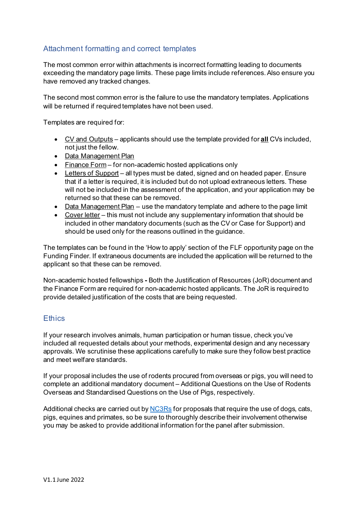## Attachment formatting and correct templates

The most common error within attachments is incorrect formatting leading to documents exceeding the mandatory page limits. These page limits include references.Also ensure you have removed any tracked changes.

The second most common error is the failure to use the mandatory templates. Applications will be returned if required templates have not been used.

Templates are required for:

- CV and Outputs applicants should use the template provided for **all** CVs included, not just the fellow.
- Data Management Plan
- Finance Form for non-academic hosted applications only
- Letters of Support all types must be dated, signed and on headed paper. Ensure that if a letter is required, it is included but do not upload extraneous letters. These will not be included in the assessment of the application, and your application may be returned so that these can be removed.
- Data Management Plan use the mandatory template and adhere to the page limit
- Cover letter this must not include any supplementary information that should be included in other mandatory documents (such as the CV or Case for Support) and should be used only for the reasons outlined in the guidance.

The templates can be found in the 'How to apply' section of the FLF opportunity page on the Funding Finder. If extraneous documents are included the application will be returned to the applicant so that these can be removed.

Non-academic hosted fellowships **-** Both the Justification of Resources (JoR) document and the Finance Form are required for non-academic hosted applicants. The JoR is required to provide detailed justification of the costs that are being requested.

#### **Ethics**

If your research involves animals, human participation or human tissue, check you've included all requested details about your methods, experimental design and any necessary approvals. We scrutinise these applications carefully to make sure they follow best practice and meet welfare standards.

If your proposal includes the use of rodents procured from overseas or pigs, you will need to complete an additional mandatory document – Additional Questions on the Use of Rodents Overseas and Standardised Questions on the Use of Pigs, respectively.

Additional checks are carried out b[y NC3Rs](https://www.nc3rs.org.uk/) for proposals that require the use of dogs, cats, pigs, equines and primates, so be sure to thoroughly describe their involvement otherwise you may be asked to provide additional information for the panel after submission.